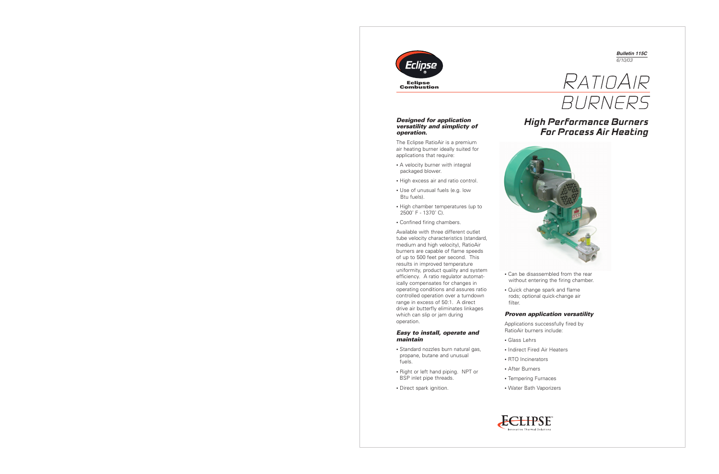





## *Designed for application versatility and simplicty of operation.*

The Eclipse RatioAir is a premium air heating burner ideally suited for applications that require:

- A velocity burner with integral packaged blower.
- High excess air and ratio control.
- Use of unusual fuels (e.g. low Btu fuels).
- High chamber temperatures (up to 2500˚ F - 1370˚ C).
- Confined firing chambers.

Available with three different outlet tube velocity characteristics (standard, medium and high velocity), RatioAir burners are capable of flame speeds of up to 500 feet per second. This results in improved temperature uniformity, product quality and system efficiency. A ratio regulator automatically compensates for changes in operating conditions and assures ratio controlled operation over a turndown range in excess of 50:1. A direct drive air butterfly eliminates linkages which can slip or jam during operation.

## *Easy to install, operate and maintain*

- Standard nozzles burn natural gas, propane, butane and unusual fuels.
- Right or left hand piping. NPT or BSP inlet pipe threads.
- Direct spark ignition.





- Can be disassembled from the rear without entering the firing chamber.
- Quick change spark and flame rods; optional quick-change air filter.

## *Proven application versatility*

Applications successfully fired by RatioAir burners include:

- Glass Lehrs
- Indirect Fired Air Heaters
- RTO Incinerators
- After Burners
- Tempering Furnaces
- Water Bath Vaporizers